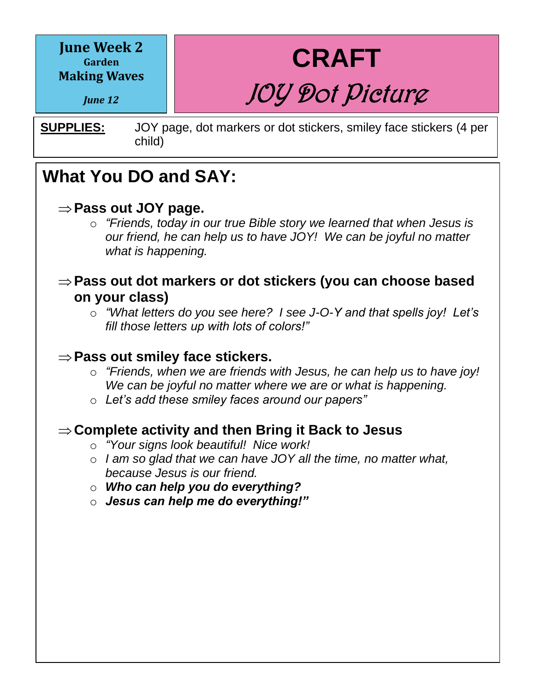**June Week 2 Garden Making Waves**

*June 12*

**CRAFT** JOY Dot Picture

**SUPPLIES:** JOY page, dot markers or dot stickers, smiley face stickers (4 per child)

### **What You DO and SAY:**

#### **Pass out JOY page.**

o *"Friends, today in our true Bible story we learned that when Jesus is our friend, he can help us to have JOY! We can be joyful no matter what is happening.*

#### **Pass out dot markers or dot stickers (you can choose based on your class)**

o *"What letters do you see here? I see J-O-Y and that spells joy! Let's fill those letters up with lots of colors!"*

### $\Rightarrow$  Pass out smiley face stickers.

- $\circ$  "Friends, when we are friends with Jesus, he can help us to have joy! *We can be joyful no matter where we are or what is happening.*
	- o *Let's add these smiley faces around our papers"*

#### **Complete activity and then Bring it Back to Jesus**

- o *"Your signs look beautiful! Nice work!*
- o *I am so glad that we can have JOY all the time, no matter what, because Jesus is our friend.*
- **o Who can help you do everything?** 
	- o *Jesus can help me do everything!"*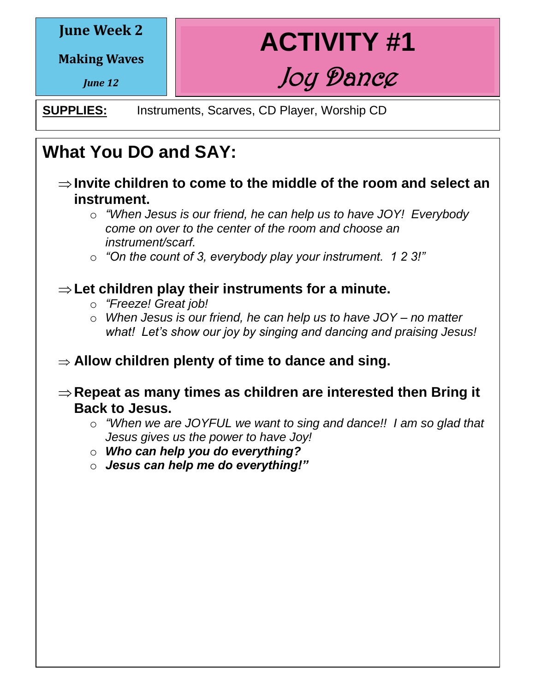#### **June Week 2**

**Making Waves**

*June 12*

**ACTIVITY #1** Joy Dance

**SUPPLIES:** Instruments, Scarves, CD Player, Worship CD

## **What You DO and SAY:**

- **Invite children to come to the middle of the room and select an instrument.**
	- o *"When Jesus is our friend, he can help us to have JOY! Everybody come on over to the center of the room and choose an instrument/scarf.*

o *"On the count of 3, everybody play your instrument. 1 2 3!"*

### $\Rightarrow$  Let children play their instruments for a minute.

- o *"Freeze! Great job!*
- o *When Jesus is our friend, he can help us to have JOY – no matter what! Let's show our joy by singing and dancing and praising Jesus!* **What You Do:**
	- **Allow children plenty of time to dance and sing.**
- **Repeat as many times as children are interested then Bring it Back to Jesus.** 
	- o *"When we are JOYFUL we want to sing and dance!! I am so glad that Jesus gives us the power to have Joy!*
	- o *Who can help you do everything?*
	- o *Jesus can help me do everything!"*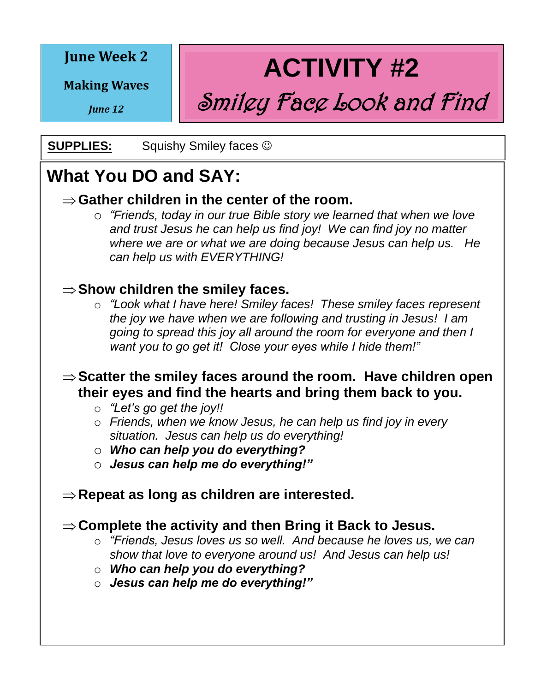#### **June Week 2**

**Making Waves**

*June 12*

**ACTIVITY #2**

Smiley Face Look and Find

**SUPPLIES:** Squishy Smiley faces  $\odot$ 

### **What You DO and SAY:**

### $\Rightarrow$  **Gather children in the center of the room.**

o *"Friends, today in our true Bible story we learned that when we love and trust Jesus he can help us find joy! We can find joy no matter where we are or what we are doing because Jesus can help us. He can help us with EVERYTHING!* 

### **⇒Show children the smiley faces.**

o *"Look what I have here! Smiley faces! These smiley faces represent the joy we have when we are following and trusting in Jesus! I am going to spread this joy all around the room for everyone and then I want you to go get it! Close your eyes while I hide them!"* **What You Do:**

#### **Scatter the smiley faces around the room. Have children open their eyes and find the hearts and bring them back to you.**

- $\circ$  *"*Let's go get the joy!!
	- o *Friends, when we know Jesus, he can help us find joy in every situation. Jesus can help us do everything!*
	- o *Who can help you do everything?*
	- o *Jesus can help me do everything!"*

### **Repeat as long as children are interested.**

### **Complete the activity and then Bring it Back to Jesus.**

- o *"Friends, Jesus loves us so well. And because he loves us, we can show that love to everyone around us! And Jesus can help us!*
- o *Who can help you do everything?*
- o *Jesus can help me do everything!"*